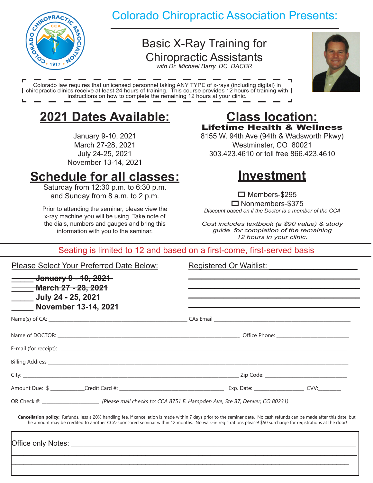

## Colorado Chiropractic Association Presents:

## Basic X-Ray Training for Chiropractic Assistants

*with Dr. Michael Barry, DC, DACBR*



Colorado law requires that unlicensed personnel taking ANY TYPE of x-rays (including digital) in chiropractic clinics receive at least 24 hours of training. This course provides 12 hours of training with | instructions on how to complete the remaining 12 hours at your clinic.

# **2021 Dates Available:**

January 9-10, 2021 March 27-28, 2021 July 24-25, 2021 November 13-14, 2021

# **Schedule for all classes:**

Saturday from 12:30 p.m. to 6:30 p.m. and Sunday from 8 a.m. to 2 p.m.

Prior to attending the seminar, please view the x-ray machine you will be using. Take note of the dials, numbers and gauges and bring this information with you to the seminar.

### **Class location:** Lifetime Health & Wellness

8155 W. 94th Ave (94th & Wadsworth Pkwy) Westminster, CO 80021 303.423.4610 or toll free 866.423.4610

# **Investment**

 $\Box$  Members-\$295 **□** Nonmembers-\$375 *Discount based on if the Doctor is a member of the CCA*

*Cost includes textbook (a \$90 value) & study guide for completion of the remaining 12 hours in your clinic.*

#### Seating is limited to 12 and based on a first-come, first-served basis

|--|

Registered Or Waitlist:

| the control of the control of the control of the control of the control of                                                                                                                                                                                                                                                               |  |
|------------------------------------------------------------------------------------------------------------------------------------------------------------------------------------------------------------------------------------------------------------------------------------------------------------------------------------------|--|
|                                                                                                                                                                                                                                                                                                                                          |  |
|                                                                                                                                                                                                                                                                                                                                          |  |
|                                                                                                                                                                                                                                                                                                                                          |  |
| Billing Address and the contract of the contract of the contract of the contract of the contract of the contract of the contract of the contract of the contract of the contract of the contract of the contract of the contra                                                                                                           |  |
|                                                                                                                                                                                                                                                                                                                                          |  |
|                                                                                                                                                                                                                                                                                                                                          |  |
| OR Check #: _________________________________(Please mail checks to: CCA 8751 E. Hampden Ave, Ste B7, Denver, CO 80231)                                                                                                                                                                                                                  |  |
| Cancellation policy: Refunds, less a 20% handling fee, if cancellation is made within 7 days prior to the seminar date. No cash refunds can be made after this date, but<br>the amount may be credited to another CCA-sponsored seminar within 12 months. No walk-in registrations please! \$50 surcharge for registrations at the door! |  |
|                                                                                                                                                                                                                                                                                                                                          |  |